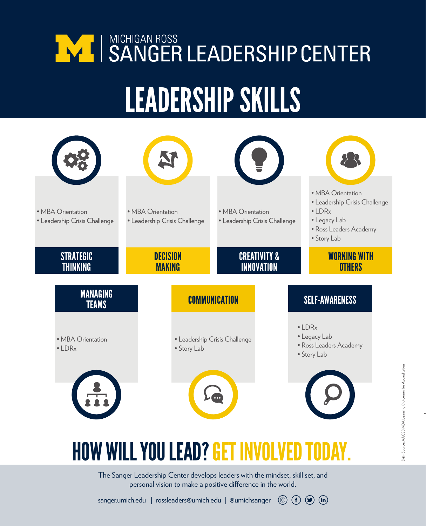# **WE SANGER LEADERSHIP CENTER** LEADERSHIP SKILLS



### HOW WILL YOU LEAD? GET INVOLVED

The Sanger Leadership Center develops leaders with the mindset, skill set, and personal vision to make a positive difference in the world.

sanger.umich.edu | rossleaders@umich.edu | @umichsanger  $\circledcirc$   $(f)$   $(f)$   $\circledcirc$   $(in)$